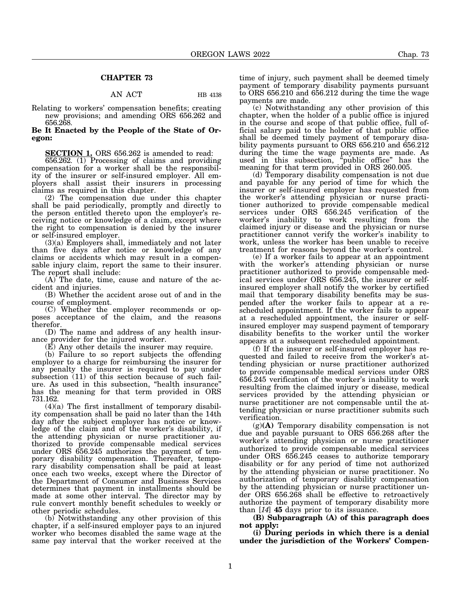## **CHAPTER 73**

## AN ACT HB 4138

Relating to workers' compensation benefits; creating new provisions; and amending ORS 656.262 and 656.268.

**Be It Enacted by the People of the State of Oregon:**

**SECTION 1.** ORS 656.262 is amended to read:

656.262. (1) Processing of claims and providing compensation for a worker shall be the responsibility of the insurer or self-insured employer. All employers shall assist their insurers in processing claims as required in this chapter.

(2) The compensation due under this chapter shall be paid periodically, promptly and directly to the person entitled thereto upon the employer's receiving notice or knowledge of a claim, except where the right to compensation is denied by the insurer or self-insured employer.

(3)(a) Employers shall, immediately and not later than five days after notice or knowledge of any claims or accidents which may result in a compensable injury claim, report the same to their insurer. The report shall include:

(A) The date, time, cause and nature of the accident and injuries.

(B) Whether the accident arose out of and in the course of employment.

(C) Whether the employer recommends or opposes acceptance of the claim, and the reasons therefor.

(D) The name and address of any health insurance provider for the injured worker.

(E) Any other details the insurer may require.

(b) Failure to so report subjects the offending employer to a charge for reimbursing the insurer for any penalty the insurer is required to pay under subsection (11) of this section because of such failure. As used in this subsection, "health insurance" has the meaning for that term provided in ORS 731.162.

 $(4)(a)$  The first installment of temporary disability compensation shall be paid no later than the 14th day after the subject employer has notice or knowledge of the claim and of the worker's disability, if the attending physician or nurse practitioner authorized to provide compensable medical services under ORS 656.245 authorizes the payment of temporary disability compensation. Thereafter, temporary disability compensation shall be paid at least once each two weeks, except where the Director of the Department of Consumer and Business Services determines that payment in installments should be made at some other interval. The director may by rule convert monthly benefit schedules to weekly or other periodic schedules.

(b) Notwithstanding any other provision of this chapter, if a self-insured employer pays to an injured worker who becomes disabled the same wage at the same pay interval that the worker received at the time of injury, such payment shall be deemed timely payment of temporary disability payments pursuant to ORS 656.210 and 656.212 during the time the wage payments are made.

(c) Notwithstanding any other provision of this chapter, when the holder of a public office is injured in the course and scope of that public office, full official salary paid to the holder of that public office shall be deemed timely payment of temporary disability payments pursuant to ORS 656.210 and 656.212 during the time the wage payments are made. As used in this subsection, "public office" has the meaning for that term provided in ORS 260.005.

(d) Temporary disability compensation is not due and payable for any period of time for which the insurer or self-insured employer has requested from the worker's attending physician or nurse practitioner authorized to provide compensable medical services under ORS 656.245 verification of the worker's inability to work resulting from the claimed injury or disease and the physician or nurse practitioner cannot verify the worker's inability to work, unless the worker has been unable to receive treatment for reasons beyond the worker's control.

(e) If a worker fails to appear at an appointment with the worker's attending physician or nurse practitioner authorized to provide compensable medical services under ORS 656.245, the insurer or selfinsured employer shall notify the worker by certified mail that temporary disability benefits may be suspended after the worker fails to appear at a rescheduled appointment. If the worker fails to appear at a rescheduled appointment, the insurer or selfinsured employer may suspend payment of temporary disability benefits to the worker until the worker appears at a subsequent rescheduled appointment.

(f) If the insurer or self-insured employer has requested and failed to receive from the worker's attending physician or nurse practitioner authorized to provide compensable medical services under ORS 656.245 verification of the worker's inability to work resulting from the claimed injury or disease, medical services provided by the attending physician or nurse practitioner are not compensable until the attending physician or nurse practitioner submits such verification.

(g)**(A)** Temporary disability compensation is not due and payable pursuant to ORS 656.268 after the worker's attending physician or nurse practitioner authorized to provide compensable medical services under ORS 656.245 ceases to authorize temporary disability or for any period of time not authorized by the attending physician or nurse practitioner. No authorization of temporary disability compensation by the attending physician or nurse practitioner under ORS 656.268 shall be effective to retroactively authorize the payment of temporary disability more than [*14*] **45** days prior to its issuance.

**(B) Subparagraph (A) of this paragraph does not apply:**

**(i) During periods in which there is a denial under the jurisdiction of the Workers' Compen-**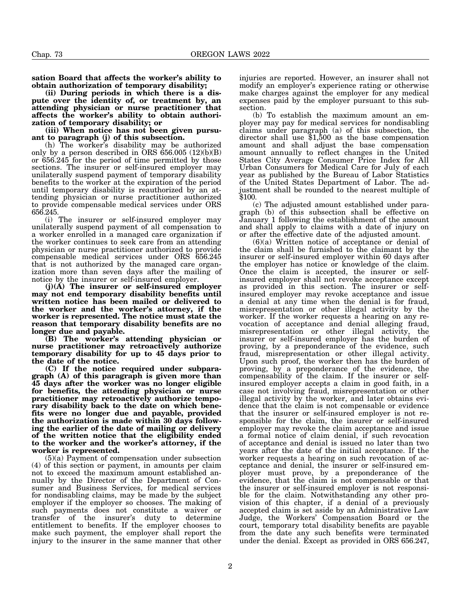**sation Board that affects the worker's ability to obtain authorization of temporary disability;**

**(ii) During periods in which there is a dispute over the identity of, or treatment by, an attending physician or nurse practitioner that affects the worker's ability to obtain authorization of temporary disability; or**

**(iii) When notice has not been given pursuant to paragraph (j) of this subsection.**

(h) The worker's disability may be authorized only by a person described in ORS  $656.005$   $(12)(b)(B)$ or 656.245 for the period of time permitted by those sections. The insurer or self-insured employer may unilaterally suspend payment of temporary disability benefits to the worker at the expiration of the period until temporary disability is reauthorized by an attending physician or nurse practitioner authorized to provide compensable medical services under ORS 656.245.

(i) The insurer or self-insured employer may unilaterally suspend payment of all compensation to a worker enrolled in a managed care organization if the worker continues to seek care from an attending physician or nurse practitioner authorized to provide compensable medical services under ORS 656.245 that is not authorized by the managed care organization more than seven days after the mailing of notice by the insurer or self-insured employer.

**(j)(A) The insurer or self-insured employer may not end temporary disability benefits until written notice has been mailed or delivered to the worker and the worker's attorney, if the worker is represented. The notice must state the reason that temporary disability benefits are no longer due and payable.**

**(B) The worker's attending physician or nurse practitioner may retroactively authorize temporary disability for up to 45 days prior to the date of the notice.**

**(C) If the notice required under subparagraph (A) of this paragraph is given more than 45 days after the worker was no longer eligible for benefits, the attending physician or nurse practitioner may retroactively authorize temporary disability back to the date on which benefits were no longer due and payable, provided the authorization is made within 30 days following the earlier of the date of mailing or delivery of the written notice that the eligibility ended to the worker and the worker's attorney, if the worker is represented.**

(5)(a) Payment of compensation under subsection (4) of this section or payment, in amounts per claim not to exceed the maximum amount established annually by the Director of the Department of Consumer and Business Services, for medical services for nondisabling claims, may be made by the subject employer if the employer so chooses. The making of such payments does not constitute a waiver or transfer of the insurer's duty to determine entitlement to benefits. If the employer chooses to make such payment, the employer shall report the injury to the insurer in the same manner that other

injuries are reported. However, an insurer shall not modify an employer's experience rating or otherwise make charges against the employer for any medical expenses paid by the employer pursuant to this subsection.

(b) To establish the maximum amount an employer may pay for medical services for nondisabling claims under paragraph (a) of this subsection, the director shall use \$1,500 as the base compensation amount and shall adjust the base compensation amount annually to reflect changes in the United States City Average Consumer Price Index for All Urban Consumers for Medical Care for July of each year as published by the Bureau of Labor Statistics of the United States Department of Labor. The adjustment shall be rounded to the nearest multiple of \$100.

(c) The adjusted amount established under paragraph (b) of this subsection shall be effective on January 1 following the establishment of the amount and shall apply to claims with a date of injury on or after the effective date of the adjusted amount.

(6)(a) Written notice of acceptance or denial of the claim shall be furnished to the claimant by the insurer or self-insured employer within 60 days after the employer has notice or knowledge of the claim. Once the claim is accepted, the insurer or selfinsured employer shall not revoke acceptance except as provided in this section. The insurer or selfinsured employer may revoke acceptance and issue a denial at any time when the denial is for fraud, misrepresentation or other illegal activity by the worker. If the worker requests a hearing on any revocation of acceptance and denial alleging fraud, misrepresentation or other illegal activity, the insurer or self-insured employer has the burden of proving, by a preponderance of the evidence, such fraud, misrepresentation or other illegal activity. Upon such proof, the worker then has the burden of proving, by a preponderance of the evidence, the compensability of the claim. If the insurer or selfinsured employer accepts a claim in good faith, in a case not involving fraud, misrepresentation or other illegal activity by the worker, and later obtains evidence that the claim is not compensable or evidence that the insurer or self-insured employer is not responsible for the claim, the insurer or self-insured employer may revoke the claim acceptance and issue a formal notice of claim denial, if such revocation of acceptance and denial is issued no later than two years after the date of the initial acceptance. If the worker requests a hearing on such revocation of acceptance and denial, the insurer or self-insured employer must prove, by a preponderance of the evidence, that the claim is not compensable or that the insurer or self-insured employer is not responsible for the claim. Notwithstanding any other provision of this chapter, if a denial of a previously accepted claim is set aside by an Administrative Law Judge, the Workers' Compensation Board or the court, temporary total disability benefits are payable from the date any such benefits were terminated under the denial. Except as provided in ORS 656.247,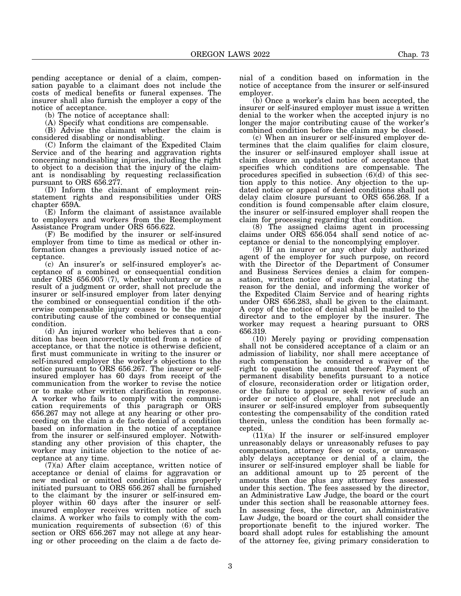pending acceptance or denial of a claim, compensation payable to a claimant does not include the costs of medical benefits or funeral expenses. The insurer shall also furnish the employer a copy of the notice of acceptance.

(b) The notice of acceptance shall:

(A) Specify what conditions are compensable.

(B) Advise the claimant whether the claim is considered disabling or nondisabling.

(C) Inform the claimant of the Expedited Claim Service and of the hearing and aggravation rights concerning nondisabling injuries, including the right to object to a decision that the injury of the claimant is nondisabling by requesting reclassification pursuant to ORS 656.277.

(D) Inform the claimant of employment reinstatement rights and responsibilities under ORS chapter 659A.

(E) Inform the claimant of assistance available to employers and workers from the Reemployment Assistance Program under ORS 656.622.

(F) Be modified by the insurer or self-insured employer from time to time as medical or other information changes a previously issued notice of acceptance.

(c) An insurer's or self-insured employer's acceptance of a combined or consequential condition under ORS 656.005 (7), whether voluntary or as a result of a judgment or order, shall not preclude the insurer or self-insured employer from later denying the combined or consequential condition if the otherwise compensable injury ceases to be the major contributing cause of the combined or consequential condition.

(d) An injured worker who believes that a condition has been incorrectly omitted from a notice of acceptance, or that the notice is otherwise deficient, first must communicate in writing to the insurer or self-insured employer the worker's objections to the notice pursuant to ORS 656.267. The insurer or selfinsured employer has 60 days from receipt of the communication from the worker to revise the notice or to make other written clarification in response. A worker who fails to comply with the communication requirements of this paragraph or ORS 656.267 may not allege at any hearing or other proceeding on the claim a de facto denial of a condition based on information in the notice of acceptance from the insurer or self-insured employer. Notwithstanding any other provision of this chapter, the worker may initiate objection to the notice of acceptance at any time.

(7)(a) After claim acceptance, written notice of acceptance or denial of claims for aggravation or new medical or omitted condition claims properly initiated pursuant to ORS 656.267 shall be furnished to the claimant by the insurer or self-insured employer within 60 days after the insurer or selfinsured employer receives written notice of such claims. A worker who fails to comply with the communication requirements of subsection (6) of this section or ORS 656.267 may not allege at any hearing or other proceeding on the claim a de facto denial of a condition based on information in the notice of acceptance from the insurer or self-insured employer.

(b) Once a worker's claim has been accepted, the insurer or self-insured employer must issue a written denial to the worker when the accepted injury is no longer the major contributing cause of the worker's combined condition before the claim may be closed.

(c) When an insurer or self-insured employer determines that the claim qualifies for claim closure, the insurer or self-insured employer shall issue at claim closure an updated notice of acceptance that specifies which conditions are compensable. The procedures specified in subsection  $(6)(d)$  of this section apply to this notice. Any objection to the updated notice or appeal of denied conditions shall not delay claim closure pursuant to ORS 656.268. If a condition is found compensable after claim closure, the insurer or self-insured employer shall reopen the claim for processing regarding that condition.

(8) The assigned claims agent in processing claims under ORS 656.054 shall send notice of acceptance or denial to the noncomplying employer.

(9) If an insurer or any other duly authorized agent of the employer for such purpose, on record with the Director of the Department of Consumer and Business Services denies a claim for compensation, written notice of such denial, stating the reason for the denial, and informing the worker of the Expedited Claim Service and of hearing rights under ORS 656.283, shall be given to the claimant. A copy of the notice of denial shall be mailed to the director and to the employer by the insurer. The worker may request a hearing pursuant to ORS 656.319.

(10) Merely paying or providing compensation shall not be considered acceptance of a claim or an admission of liability, nor shall mere acceptance of such compensation be considered a waiver of the right to question the amount thereof. Payment of permanent disability benefits pursuant to a notice of closure, reconsideration order or litigation order, or the failure to appeal or seek review of such an order or notice of closure, shall not preclude an insurer or self-insured employer from subsequently contesting the compensability of the condition rated therein, unless the condition has been formally accepted.

 $(11)(a)$  If the insurer or self-insured employer unreasonably delays or unreasonably refuses to pay compensation, attorney fees or costs, or unreasonably delays acceptance or denial of a claim, the insurer or self-insured employer shall be liable for an additional amount up to 25 percent of the amounts then due plus any attorney fees assessed under this section. The fees assessed by the director, an Administrative Law Judge, the board or the court under this section shall be reasonable attorney fees. In assessing fees, the director, an Administrative Law Judge, the board or the court shall consider the proportionate benefit to the injured worker. The board shall adopt rules for establishing the amount of the attorney fee, giving primary consideration to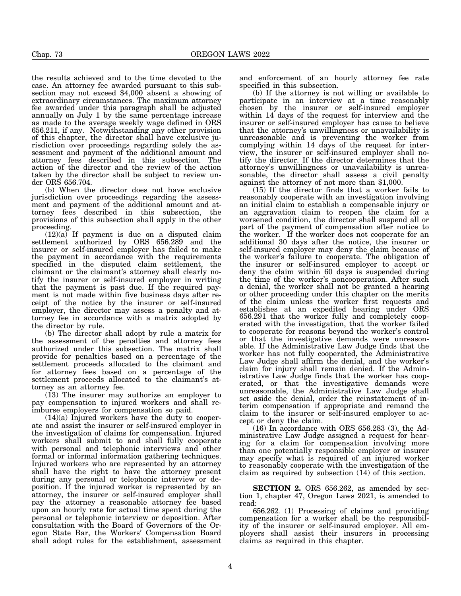the results achieved and to the time devoted to the case. An attorney fee awarded pursuant to this subsection may not exceed \$4,000 absent a showing of extraordinary circumstances. The maximum attorney fee awarded under this paragraph shall be adjusted annually on July 1 by the same percentage increase as made to the average weekly wage defined in ORS 656.211, if any. Notwithstanding any other provision of this chapter, the director shall have exclusive jurisdiction over proceedings regarding solely the assessment and payment of the additional amount and attorney fees described in this subsection. The action of the director and the review of the action taken by the director shall be subject to review under ORS 656.704.

(b) When the director does not have exclusive jurisdiction over proceedings regarding the assessment and payment of the additional amount and attorney fees described in this subsection, the provisions of this subsection shall apply in the other proceeding.

(12)(a) If payment is due on a disputed claim settlement authorized by ORS 656.289 and the insurer or self-insured employer has failed to make the payment in accordance with the requirements specified in the disputed claim settlement, the claimant or the claimant's attorney shall clearly notify the insurer or self-insured employer in writing that the payment is past due. If the required payment is not made within five business days after receipt of the notice by the insurer or self-insured employer, the director may assess a penalty and attorney fee in accordance with a matrix adopted by the director by rule.

(b) The director shall adopt by rule a matrix for the assessment of the penalties and attorney fees authorized under this subsection. The matrix shall provide for penalties based on a percentage of the settlement proceeds allocated to the claimant and for attorney fees based on a percentage of the settlement proceeds allocated to the claimant's attorney as an attorney fee.

(13) The insurer may authorize an employer to pay compensation to injured workers and shall reimburse employers for compensation so paid.

(14)(a) Injured workers have the duty to cooperate and assist the insurer or self-insured employer in the investigation of claims for compensation. Injured workers shall submit to and shall fully cooperate with personal and telephonic interviews and other formal or informal information gathering techniques. Injured workers who are represented by an attorney shall have the right to have the attorney present during any personal or telephonic interview or deposition. If the injured worker is represented by an attorney, the insurer or self-insured employer shall pay the attorney a reasonable attorney fee based upon an hourly rate for actual time spent during the personal or telephonic interview or deposition. After consultation with the Board of Governors of the Oregon State Bar, the Workers' Compensation Board shall adopt rules for the establishment, assessment

and enforcement of an hourly attorney fee rate specified in this subsection.

(b) If the attorney is not willing or available to participate in an interview at a time reasonably chosen by the insurer or self-insured employer within 14 days of the request for interview and the insurer or self-insured employer has cause to believe that the attorney's unwillingness or unavailability is unreasonable and is preventing the worker from complying within 14 days of the request for interview, the insurer or self-insured employer shall notify the director. If the director determines that the attorney's unwillingness or unavailability is unreasonable, the director shall assess a civil penalty against the attorney of not more than \$1,000.

(15) If the director finds that a worker fails to reasonably cooperate with an investigation involving an initial claim to establish a compensable injury or an aggravation claim to reopen the claim for a worsened condition, the director shall suspend all or part of the payment of compensation after notice to the worker. If the worker does not cooperate for an additional 30 days after the notice, the insurer or self-insured employer may deny the claim because of the worker's failure to cooperate. The obligation of the insurer or self-insured employer to accept or deny the claim within 60 days is suspended during the time of the worker's noncooperation. After such a denial, the worker shall not be granted a hearing or other proceeding under this chapter on the merits of the claim unless the worker first requests and establishes at an expedited hearing under ORS 656.291 that the worker fully and completely cooperated with the investigation, that the worker failed to cooperate for reasons beyond the worker's control or that the investigative demands were unreasonable. If the Administrative Law Judge finds that the worker has not fully cooperated, the Administrative Law Judge shall affirm the denial, and the worker's claim for injury shall remain denied. If the Administrative Law Judge finds that the worker has cooperated, or that the investigative demands were unreasonable, the Administrative Law Judge shall set aside the denial, order the reinstatement of interim compensation if appropriate and remand the claim to the insurer or self-insured employer to accept or deny the claim.

(16) In accordance with ORS 656.283 (3), the Administrative Law Judge assigned a request for hearing for a claim for compensation involving more than one potentially responsible employer or insurer may specify what is required of an injured worker to reasonably cooperate with the investigation of the claim as required by subsection (14) of this section.

**SECTION 2.** ORS 656.262, as amended by section 1, chapter 47, Oregon Laws 2021, is amended to read:

656.262. (1) Processing of claims and providing compensation for a worker shall be the responsibility of the insurer or self-insured employer. All employers shall assist their insurers in processing claims as required in this chapter.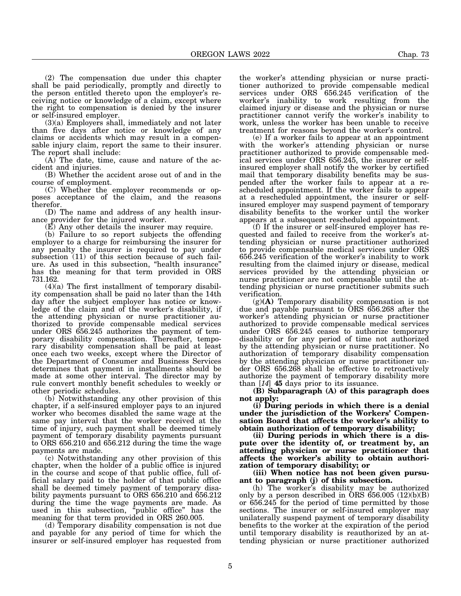(2) The compensation due under this chapter shall be paid periodically, promptly and directly to the person entitled thereto upon the employer's receiving notice or knowledge of a claim, except where the right to compensation is denied by the insurer or self-insured employer.

(3)(a) Employers shall, immediately and not later than five days after notice or knowledge of any claims or accidents which may result in a compensable injury claim, report the same to their insurer. The report shall include:

(A) The date, time, cause and nature of the accident and injuries.

(B) Whether the accident arose out of and in the course of employment.

(C) Whether the employer recommends or opposes acceptance of the claim, and the reasons therefor.

(D) The name and address of any health insurance provider for the injured worker.

(E) Any other details the insurer may require.

(b) Failure to so report subjects the offending employer to a charge for reimbursing the insurer for any penalty the insurer is required to pay under subsection (11) of this section because of such failure. As used in this subsection, "health insurance" has the meaning for that term provided in ORS 731.162.

 $(4)(a)$  The first installment of temporary disability compensation shall be paid no later than the 14th day after the subject employer has notice or knowledge of the claim and of the worker's disability, if the attending physician or nurse practitioner authorized to provide compensable medical services under ORS 656.245 authorizes the payment of temporary disability compensation. Thereafter, temporary disability compensation shall be paid at least once each two weeks, except where the Director of the Department of Consumer and Business Services determines that payment in installments should be made at some other interval. The director may by rule convert monthly benefit schedules to weekly or other periodic schedules.

(b) Notwithstanding any other provision of this chapter, if a self-insured employer pays to an injured worker who becomes disabled the same wage at the same pay interval that the worker received at the time of injury, such payment shall be deemed timely payment of temporary disability payments pursuant to ORS 656.210 and 656.212 during the time the wage payments are made.

(c) Notwithstanding any other provision of this chapter, when the holder of a public office is injured in the course and scope of that public office, full official salary paid to the holder of that public office shall be deemed timely payment of temporary disability payments pursuant to ORS 656.210 and 656.212 during the time the wage payments are made. As used in this subsection, "public office" has the meaning for that term provided in ORS 260.005.

(d) Temporary disability compensation is not due and payable for any period of time for which the insurer or self-insured employer has requested from the worker's attending physician or nurse practitioner authorized to provide compensable medical services under ORS 656.245 verification of the worker's inability to work resulting from the claimed injury or disease and the physician or nurse practitioner cannot verify the worker's inability to work, unless the worker has been unable to receive treatment for reasons beyond the worker's control.

(e) If a worker fails to appear at an appointment with the worker's attending physician or nurse practitioner authorized to provide compensable medical services under ORS 656.245, the insurer or selfinsured employer shall notify the worker by certified mail that temporary disability benefits may be suspended after the worker fails to appear at a rescheduled appointment. If the worker fails to appear at a rescheduled appointment, the insurer or selfinsured employer may suspend payment of temporary disability benefits to the worker until the worker appears at a subsequent rescheduled appointment.

(f) If the insurer or self-insured employer has requested and failed to receive from the worker's attending physician or nurse practitioner authorized to provide compensable medical services under ORS 656.245 verification of the worker's inability to work resulting from the claimed injury or disease, medical services provided by the attending physician or nurse practitioner are not compensable until the attending physician or nurse practitioner submits such verification.

(g)**(A)** Temporary disability compensation is not due and payable pursuant to ORS 656.268 after the worker's attending physician or nurse practitioner authorized to provide compensable medical services under ORS 656.245 ceases to authorize temporary disability or for any period of time not authorized by the attending physician or nurse practitioner. No authorization of temporary disability compensation by the attending physician or nurse practitioner under ORS 656.268 shall be effective to retroactively authorize the payment of temporary disability more than [*14*] **45** days prior to its issuance.

**(B) Subparagraph (A) of this paragraph does not apply:**

**(i) During periods in which there is a denial under the jurisdiction of the Workers' Compensation Board that affects the worker's ability to obtain authorization of temporary disability;**

**(ii) During periods in which there is a dispute over the identity of, or treatment by, an attending physician or nurse practitioner that affects the worker's ability to obtain authorization of temporary disability; or**

**(iii) When notice has not been given pursuant to paragraph (j) of this subsection.**

(h) The worker's disability may be authorized only by a person described in  $\text{\r{ORS}}\$   $656.005\$   $(12)(b)(B)$ or 656.245 for the period of time permitted by those sections. The insurer or self-insured employer may unilaterally suspend payment of temporary disability benefits to the worker at the expiration of the period until temporary disability is reauthorized by an attending physician or nurse practitioner authorized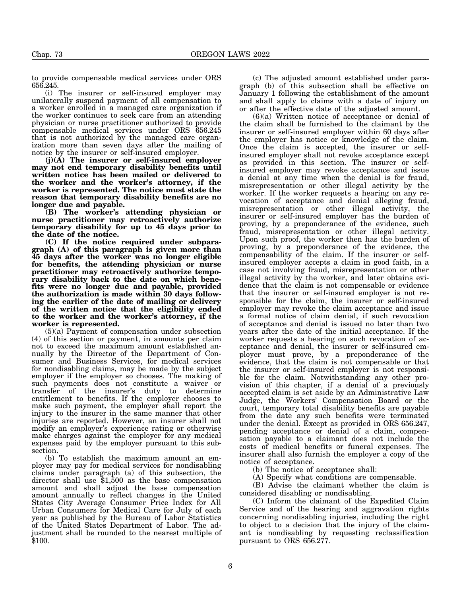to provide compensable medical services under ORS 656.245.

(i) The insurer or self-insured employer may unilaterally suspend payment of all compensation to a worker enrolled in a managed care organization if the worker continues to seek care from an attending physician or nurse practitioner authorized to provide compensable medical services under ORS 656.245 that is not authorized by the managed care organization more than seven days after the mailing of notice by the insurer or self-insured employer.

**(j)(A) The insurer or self-insured employer may not end temporary disability benefits until written notice has been mailed or delivered to the worker and the worker's attorney, if the worker is represented. The notice must state the reason that temporary disability benefits are no longer due and payable.**

**(B) The worker's attending physician or nurse practitioner may retroactively authorize temporary disability for up to 45 days prior to the date of the notice.**

**(C) If the notice required under subparagraph (A) of this paragraph is given more than 45 days after the worker was no longer eligible for benefits, the attending physician or nurse practitioner may retroactively authorize temporary disability back to the date on which benefits were no longer due and payable, provided the authorization is made within 30 days following the earlier of the date of mailing or delivery of the written notice that the eligibility ended to the worker and the worker's attorney, if the worker is represented.**

(5)(a) Payment of compensation under subsection (4) of this section or payment, in amounts per claim not to exceed the maximum amount established annually by the Director of the Department of Consumer and Business Services, for medical services for nondisabling claims, may be made by the subject employer if the employer so chooses. The making of such payments does not constitute a waiver or transfer of the insurer's duty to determine entitlement to benefits. If the employer chooses to make such payment, the employer shall report the injury to the insurer in the same manner that other injuries are reported. However, an insurer shall not modify an employer's experience rating or otherwise make charges against the employer for any medical expenses paid by the employer pursuant to this subsection.

(b) To establish the maximum amount an employer may pay for medical services for nondisabling claims under paragraph (a) of this subsection, the director shall use  $$1,500$  as the base compensation amount and shall adjust the base compensation amount annually to reflect changes in the United States City Average Consumer Price Index for All Urban Consumers for Medical Care for July of each year as published by the Bureau of Labor Statistics of the United States Department of Labor. The adjustment shall be rounded to the nearest multiple of \$100.

(c) The adjusted amount established under paragraph (b) of this subsection shall be effective on January 1 following the establishment of the amount and shall apply to claims with a date of injury on or after the effective date of the adjusted amount.

(6)(a) Written notice of acceptance or denial of the claim shall be furnished to the claimant by the insurer or self-insured employer within 60 days after the employer has notice or knowledge of the claim. Once the claim is accepted, the insurer or selfinsured employer shall not revoke acceptance except as provided in this section. The insurer or selfinsured employer may revoke acceptance and issue a denial at any time when the denial is for fraud, misrepresentation or other illegal activity by the worker. If the worker requests a hearing on any revocation of acceptance and denial alleging fraud, misrepresentation or other illegal activity, the insurer or self-insured employer has the burden of proving, by a preponderance of the evidence, such fraud, misrepresentation or other illegal activity. Upon such proof, the worker then has the burden of proving, by a preponderance of the evidence, the compensability of the claim. If the insurer or selfinsured employer accepts a claim in good faith, in a case not involving fraud, misrepresentation or other illegal activity by the worker, and later obtains evidence that the claim is not compensable or evidence that the insurer or self-insured employer is not responsible for the claim, the insurer or self-insured employer may revoke the claim acceptance and issue a formal notice of claim denial, if such revocation of acceptance and denial is issued no later than two years after the date of the initial acceptance. If the worker requests a hearing on such revocation of acceptance and denial, the insurer or self-insured employer must prove, by a preponderance of the evidence, that the claim is not compensable or that the insurer or self-insured employer is not responsible for the claim. Notwithstanding any other provision of this chapter, if a denial of a previously accepted claim is set aside by an Administrative Law Judge, the Workers' Compensation Board or the court, temporary total disability benefits are payable from the date any such benefits were terminated under the denial. Except as provided in ORS 656.247, pending acceptance or denial of a claim, compensation payable to a claimant does not include the costs of medical benefits or funeral expenses. The insurer shall also furnish the employer a copy of the notice of acceptance.

(b) The notice of acceptance shall:

(A) Specify what conditions are compensable.

(B) Advise the claimant whether the claim is considered disabling or nondisabling.

(C) Inform the claimant of the Expedited Claim Service and of the hearing and aggravation rights concerning nondisabling injuries, including the right to object to a decision that the injury of the claimant is nondisabling by requesting reclassification pursuant to ORS 656.277.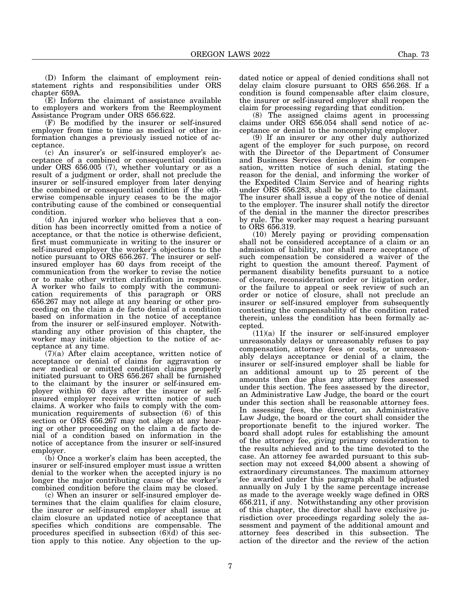(D) Inform the claimant of employment reinstatement rights and responsibilities under ORS chapter 659A.

(E) Inform the claimant of assistance available to employers and workers from the Reemployment Assistance Program under ORS 656.622.

(F) Be modified by the insurer or self-insured employer from time to time as medical or other information changes a previously issued notice of acceptance.

(c) An insurer's or self-insured employer's acceptance of a combined or consequential condition under ORS 656.005 (7), whether voluntary or as a result of a judgment or order, shall not preclude the insurer or self-insured employer from later denying the combined or consequential condition if the otherwise compensable injury ceases to be the major contributing cause of the combined or consequential condition.

(d) An injured worker who believes that a condition has been incorrectly omitted from a notice of acceptance, or that the notice is otherwise deficient, first must communicate in writing to the insurer or self-insured employer the worker's objections to the notice pursuant to ORS 656.267. The insurer or selfinsured employer has 60 days from receipt of the communication from the worker to revise the notice or to make other written clarification in response. A worker who fails to comply with the communication requirements of this paragraph or ORS 656.267 may not allege at any hearing or other proceeding on the claim a de facto denial of a condition based on information in the notice of acceptance from the insurer or self-insured employer. Notwithstanding any other provision of this chapter, the worker may initiate objection to the notice of acceptance at any time.

(7)(a) After claim acceptance, written notice of acceptance or denial of claims for aggravation or new medical or omitted condition claims properly initiated pursuant to ORS 656.267 shall be furnished to the claimant by the insurer or self-insured employer within 60 days after the insurer or selfinsured employer receives written notice of such claims. A worker who fails to comply with the communication requirements of subsection (6) of this section or ORS 656.267 may not allege at any hearing or other proceeding on the claim a de facto denial of a condition based on information in the notice of acceptance from the insurer or self-insured employer.

(b) Once a worker's claim has been accepted, the insurer or self-insured employer must issue a written denial to the worker when the accepted injury is no longer the major contributing cause of the worker's combined condition before the claim may be closed.

(c) When an insurer or self-insured employer determines that the claim qualifies for claim closure, the insurer or self-insured employer shall issue at claim closure an updated notice of acceptance that specifies which conditions are compensable. The procedures specified in subsection (6)(d) of this section apply to this notice. Any objection to the up-

dated notice or appeal of denied conditions shall not delay claim closure pursuant to ORS 656.268. If a condition is found compensable after claim closure, the insurer or self-insured employer shall reopen the claim for processing regarding that condition.

(8) The assigned claims agent in processing claims under ORS 656.054 shall send notice of acceptance or denial to the noncomplying employer.

(9) If an insurer or any other duly authorized agent of the employer for such purpose, on record with the Director of the Department of Consumer and Business Services denies a claim for compensation, written notice of such denial, stating the reason for the denial, and informing the worker of the Expedited Claim Service and of hearing rights under ORS 656.283, shall be given to the claimant. The insurer shall issue a copy of the notice of denial to the employer. The insurer shall notify the director of the denial in the manner the director prescribes by rule. The worker may request a hearing pursuant to ORS 656.319.

(10) Merely paying or providing compensation shall not be considered acceptance of a claim or an admission of liability, nor shall mere acceptance of such compensation be considered a waiver of the right to question the amount thereof. Payment of permanent disability benefits pursuant to a notice of closure, reconsideration order or litigation order, or the failure to appeal or seek review of such an order or notice of closure, shall not preclude an insurer or self-insured employer from subsequently contesting the compensability of the condition rated therein, unless the condition has been formally accepted.

 $(11)(a)$  If the insurer or self-insured employer unreasonably delays or unreasonably refuses to pay compensation, attorney fees or costs, or unreasonably delays acceptance or denial of a claim, the insurer or self-insured employer shall be liable for an additional amount up to 25 percent of the amounts then due plus any attorney fees assessed under this section. The fees assessed by the director, an Administrative Law Judge, the board or the court under this section shall be reasonable attorney fees. In assessing fees, the director, an Administrative Law Judge, the board or the court shall consider the proportionate benefit to the injured worker. The board shall adopt rules for establishing the amount of the attorney fee, giving primary consideration to the results achieved and to the time devoted to the case. An attorney fee awarded pursuant to this subsection may not exceed \$4,000 absent a showing of extraordinary circumstances. The maximum attorney fee awarded under this paragraph shall be adjusted annually on July 1 by the same percentage increase as made to the average weekly wage defined in ORS 656.211, if any. Notwithstanding any other provision of this chapter, the director shall have exclusive jurisdiction over proceedings regarding solely the assessment and payment of the additional amount and attorney fees described in this subsection. The action of the director and the review of the action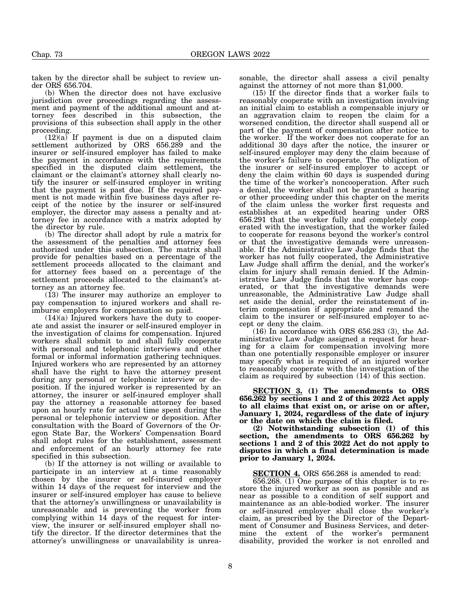taken by the director shall be subject to review under ORS 656.704.

(b) When the director does not have exclusive jurisdiction over proceedings regarding the assessment and payment of the additional amount and attorney fees described in this subsection, the provisions of this subsection shall apply in the other proceeding.

 $(12)(a)$  If payment is due on a disputed claim settlement authorized by ORS 656.289 and the insurer or self-insured employer has failed to make the payment in accordance with the requirements specified in the disputed claim settlement, the claimant or the claimant's attorney shall clearly notify the insurer or self-insured employer in writing that the payment is past due. If the required payment is not made within five business days after receipt of the notice by the insurer or self-insured employer, the director may assess a penalty and attorney fee in accordance with a matrix adopted by the director by rule.

(b) The director shall adopt by rule a matrix for the assessment of the penalties and attorney fees authorized under this subsection. The matrix shall provide for penalties based on a percentage of the settlement proceeds allocated to the claimant and for attorney fees based on a percentage of the settlement proceeds allocated to the claimant's attorney as an attorney fee.

(13) The insurer may authorize an employer to pay compensation to injured workers and shall reimburse employers for compensation so paid.

(14)(a) Injured workers have the duty to cooperate and assist the insurer or self-insured employer in the investigation of claims for compensation. Injured workers shall submit to and shall fully cooperate with personal and telephonic interviews and other formal or informal information gathering techniques. Injured workers who are represented by an attorney shall have the right to have the attorney present during any personal or telephonic interview or deposition. If the injured worker is represented by an attorney, the insurer or self-insured employer shall pay the attorney a reasonable attorney fee based upon an hourly rate for actual time spent during the personal or telephonic interview or deposition. After consultation with the Board of Governors of the Oregon State Bar, the Workers' Compensation Board shall adopt rules for the establishment, assessment and enforcement of an hourly attorney fee rate specified in this subsection.

(b) If the attorney is not willing or available to participate in an interview at a time reasonably chosen by the insurer or self-insured employer within 14 days of the request for interview and the insurer or self-insured employer has cause to believe that the attorney's unwillingness or unavailability is unreasonable and is preventing the worker from complying within 14 days of the request for interview, the insurer or self-insured employer shall notify the director. If the director determines that the attorney's unwillingness or unavailability is unreasonable, the director shall assess a civil penalty against the attorney of not more than \$1,000.

(15) If the director finds that a worker fails to reasonably cooperate with an investigation involving an initial claim to establish a compensable injury or an aggravation claim to reopen the claim for a worsened condition, the director shall suspend all or part of the payment of compensation after notice to the worker. If the worker does not cooperate for an additional 30 days after the notice, the insurer or self-insured employer may deny the claim because of the worker's failure to cooperate. The obligation of the insurer or self-insured employer to accept or deny the claim within 60 days is suspended during the time of the worker's noncooperation. After such a denial, the worker shall not be granted a hearing or other proceeding under this chapter on the merits of the claim unless the worker first requests and establishes at an expedited hearing under ORS 656.291 that the worker fully and completely cooperated with the investigation, that the worker failed to cooperate for reasons beyond the worker's control or that the investigative demands were unreasonable. If the Administrative Law Judge finds that the worker has not fully cooperated, the Administrative Law Judge shall affirm the denial, and the worker's claim for injury shall remain denied. If the Administrative Law Judge finds that the worker has cooperated, or that the investigative demands were unreasonable, the Administrative Law Judge shall set aside the denial, order the reinstatement of interim compensation if appropriate and remand the claim to the insurer or self-insured employer to accept or deny the claim.

(16) In accordance with ORS 656.283 (3), the Administrative Law Judge assigned a request for hearing for a claim for compensation involving more than one potentially responsible employer or insurer may specify what is required of an injured worker to reasonably cooperate with the investigation of the claim as required by subsection (14) of this section.

**SECTION 3. (1) The amendments to ORS 656.262 by sections 1 and 2 of this 2022 Act apply to all claims that exist on, or arise on or after, January 1, 2024, regardless of the date of injury or the date on which the claim is filed.**

**(2) Notwithstanding subsection (1) of this section, the amendments to ORS 656.262 by sections 1 and 2 of this 2022 Act do not apply to disputes in which a final determination is made prior to January 1, 2024.**

**SECTION 4.** ORS 656.268 is amended to read:

656.268. (1) One purpose of this chapter is to restore the injured worker as soon as possible and as near as possible to a condition of self support and maintenance as an able-bodied worker. The insurer or self-insured employer shall close the worker's claim, as prescribed by the Director of the Department of Consumer and Business Services, and determine the extent of the worker's permanent disability, provided the worker is not enrolled and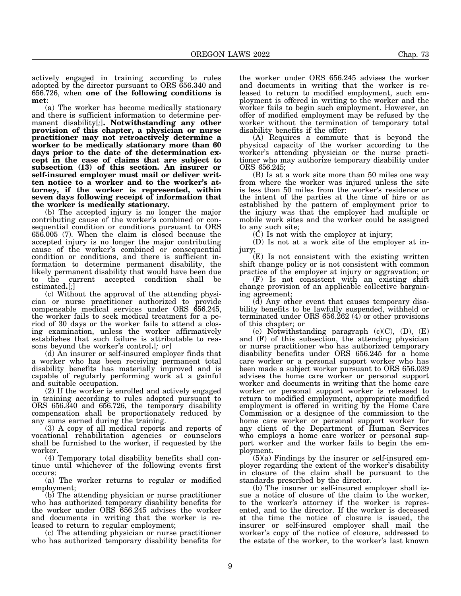actively engaged in training according to rules adopted by the director pursuant to ORS 656.340 and 656.726, when **one of the following conditions is met**:

(a) The worker has become medically stationary and there is sufficient information to determine permanent disability[*;*]**. Notwithstanding any other provision of this chapter, a physician or nurse practitioner may not retroactively determine a worker to be medically stationary more than 60 days prior to the date of the determination except in the case of claims that are subject to subsection (13) of this section. An insurer or self-insured employer must mail or deliver written notice to a worker and to the worker's attorney, if the worker is represented, within seven days following receipt of information that the worker is medically stationary.**

(b) The accepted injury is no longer the major contributing cause of the worker's combined or consequential condition or conditions pursuant to ORS 656.005 (7). When the claim is closed because the accepted injury is no longer the major contributing cause of the worker's combined or consequential condition or conditions, and there is sufficient information to determine permanent disability, the likely permanent disability that would have been due to the current accepted condition shall be estimated**.**[*;*]

(c) Without the approval of the attending physician or nurse practitioner authorized to provide compensable medical services under ORS 656.245, the worker fails to seek medical treatment for a period of 30 days or the worker fails to attend a closing examination, unless the worker affirmatively establishes that such failure is attributable to reasons beyond the worker's control**.**[*; or*]

(d) An insurer or self-insured employer finds that a worker who has been receiving permanent total disability benefits has materially improved and is capable of regularly performing work at a gainful and suitable occupation.

(2) If the worker is enrolled and actively engaged in training according to rules adopted pursuant to ORS 656.340 and 656.726, the temporary disability compensation shall be proportionately reduced by any sums earned during the training.

(3) A copy of all medical reports and reports of vocational rehabilitation agencies or counselors shall be furnished to the worker, if requested by the worker.

(4) Temporary total disability benefits shall continue until whichever of the following events first occurs:

(a) The worker returns to regular or modified employment;

(b) The attending physician or nurse practitioner who has authorized temporary disability benefits for the worker under ORS 656.245 advises the worker and documents in writing that the worker is released to return to regular employment;

(c) The attending physician or nurse practitioner who has authorized temporary disability benefits for

the worker under ORS 656.245 advises the worker and documents in writing that the worker is released to return to modified employment, such employment is offered in writing to the worker and the worker fails to begin such employment. However, an offer of modified employment may be refused by the worker without the termination of temporary total disability benefits if the offer:

(A) Requires a commute that is beyond the physical capacity of the worker according to the worker's attending physician or the nurse practitioner who may authorize temporary disability under ORS 656.245;

(B) Is at a work site more than 50 miles one way from where the worker was injured unless the site is less than 50 miles from the worker's residence or the intent of the parties at the time of hire or as established by the pattern of employment prior to the injury was that the employer had multiple or mobile work sites and the worker could be assigned to any such site;

(C) Is not with the employer at injury;

(D) Is not at a work site of the employer at injury;

(E) Is not consistent with the existing written shift change policy or is not consistent with common practice of the employer at injury or aggravation; or

(F) Is not consistent with an existing shift change provision of an applicable collective bargaining agreement;

(d) Any other event that causes temporary disability benefits to be lawfully suspended, withheld or terminated under ORS  $656.\overline{2}62$  (4) or other provisions of this chapter; or

(e) Notwithstanding paragraph  $(c)(C)$ ,  $(D)$ ,  $(E)$ and (F) of this subsection, the attending physician or nurse practitioner who has authorized temporary disability benefits under ORS 656.245 for a home care worker or a personal support worker who has been made a subject worker pursuant to ORS 656.039 advises the home care worker or personal support worker and documents in writing that the home care worker or personal support worker is released to return to modified employment, appropriate modified employment is offered in writing by the Home Care Commission or a designee of the commission to the home care worker or personal support worker for any client of the Department of Human Services who employs a home care worker or personal support worker and the worker fails to begin the employment.

 $(5)(a)$  Findings by the insurer or self-insured employer regarding the extent of the worker's disability in closure of the claim shall be pursuant to the standards prescribed by the director.

(b) The insurer or self-insured employer shall issue a notice of closure of the claim to the worker, to the worker's attorney if the worker is represented, and to the director. If the worker is deceased at the time the notice of closure is issued, the insurer or self-insured employer shall mail the worker's copy of the notice of closure, addressed to the estate of the worker, to the worker's last known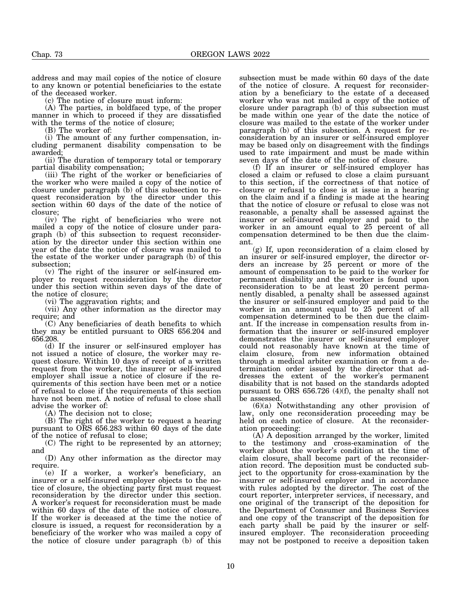address and may mail copies of the notice of closure to any known or potential beneficiaries to the estate of the deceased worker.

(c) The notice of closure must inform:

(A) The parties, in boldfaced type, of the proper manner in which to proceed if they are dissatisfied with the terms of the notice of closure;

(B) The worker of:

(i) The amount of any further compensation, including permanent disability compensation to be awarded;

(ii) The duration of temporary total or temporary partial disability compensation;

(iii) The right of the worker or beneficiaries of the worker who were mailed a copy of the notice of closure under paragraph (b) of this subsection to request reconsideration by the director under this section within 60 days of the date of the notice of closure;

(iv) The right of beneficiaries who were not mailed a copy of the notice of closure under paragraph (b) of this subsection to request reconsideration by the director under this section within one year of the date the notice of closure was mailed to the estate of the worker under paragraph (b) of this subsection;

(v) The right of the insurer or self-insured employer to request reconsideration by the director under this section within seven days of the date of the notice of closure;

(vi) The aggravation rights; and

(vii) Any other information as the director may require; and

(C) Any beneficiaries of death benefits to which they may be entitled pursuant to ORS 656.204 and 656.208.

(d) If the insurer or self-insured employer has not issued a notice of closure, the worker may request closure. Within 10 days of receipt of a written request from the worker, the insurer or self-insured employer shall issue a notice of closure if the requirements of this section have been met or a notice of refusal to close if the requirements of this section have not been met. A notice of refusal to close shall advise the worker of:

(A) The decision not to close;

(B) The right of the worker to request a hearing pursuant to ORS 656.283 within 60 days of the date of the notice of refusal to close;

(C) The right to be represented by an attorney; and

(D) Any other information as the director may require.

(e) If a worker, a worker's beneficiary, an insurer or a self-insured employer objects to the notice of closure, the objecting party first must request reconsideration by the director under this section. A worker's request for reconsideration must be made within 60 days of the date of the notice of closure. If the worker is deceased at the time the notice of closure is issued, a request for reconsideration by a beneficiary of the worker who was mailed a copy of the notice of closure under paragraph (b) of this

subsection must be made within 60 days of the date of the notice of closure. A request for reconsideration by a beneficiary to the estate of a deceased worker who was not mailed a copy of the notice of closure under paragraph (b) of this subsection must be made within one year of the date the notice of closure was mailed to the estate of the worker under paragraph (b) of this subsection. A request for reconsideration by an insurer or self-insured employer may be based only on disagreement with the findings used to rate impairment and must be made within seven days of the date of the notice of closure.

(f) If an insurer or self-insured employer has closed a claim or refused to close a claim pursuant to this section, if the correctness of that notice of closure or refusal to close is at issue in a hearing on the claim and if a finding is made at the hearing that the notice of closure or refusal to close was not reasonable, a penalty shall be assessed against the insurer or self-insured employer and paid to the worker in an amount equal to 25 percent of all compensation determined to be then due the claimant.

(g) If, upon reconsideration of a claim closed by an insurer or self-insured employer, the director orders an increase by 25 percent or more of the amount of compensation to be paid to the worker for permanent disability and the worker is found upon reconsideration to be at least 20 percent permanently disabled, a penalty shall be assessed against the insurer or self-insured employer and paid to the worker in an amount equal to 25 percent of all compensation determined to be then due the claimant. If the increase in compensation results from information that the insurer or self-insured employer demonstrates the insurer or self-insured employer could not reasonably have known at the time of claim closure, from new information obtained through a medical arbiter examination or from a determination order issued by the director that addresses the extent of the worker's permanent disability that is not based on the standards adopted pursuant to ORS 656.726 (4)(f), the penalty shall not be assessed.

 $(6)(a)$  Notwithstanding any other provision of law, only one reconsideration proceeding may be held on each notice of closure. At the reconsideration proceeding:

(A) A deposition arranged by the worker, limited to the testimony and cross-examination of the worker about the worker's condition at the time of claim closure, shall become part of the reconsideration record. The deposition must be conducted subject to the opportunity for cross-examination by the insurer or self-insured employer and in accordance with rules adopted by the director. The cost of the court reporter, interpreter services, if necessary, and one original of the transcript of the deposition for the Department of Consumer and Business Services and one copy of the transcript of the deposition for each party shall be paid by the insurer or selfinsured employer. The reconsideration proceeding may not be postponed to receive a deposition taken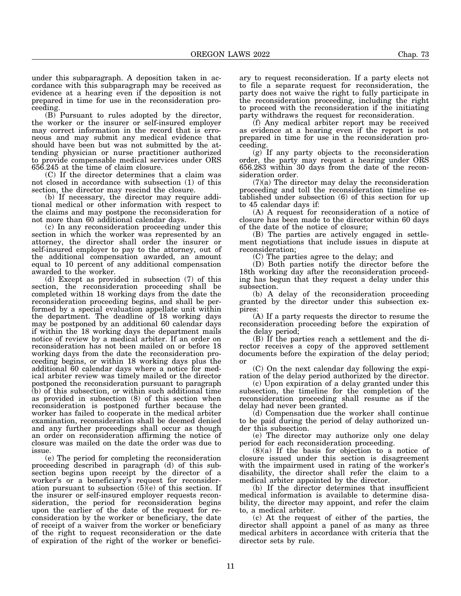under this subparagraph. A deposition taken in accordance with this subparagraph may be received as evidence at a hearing even if the deposition is not prepared in time for use in the reconsideration proceeding.

(B) Pursuant to rules adopted by the director, the worker or the insurer or self-insured employer may correct information in the record that is erroneous and may submit any medical evidence that should have been but was not submitted by the attending physician or nurse practitioner authorized to provide compensable medical services under ORS 656.245 at the time of claim closure.

(C) If the director determines that a claim was not closed in accordance with subsection (1) of this section, the director may rescind the closure.

(b) If necessary, the director may require additional medical or other information with respect to the claims and may postpone the reconsideration for not more than 60 additional calendar days.

(c) In any reconsideration proceeding under this section in which the worker was represented by an attorney, the director shall order the insurer or self-insured employer to pay to the attorney, out of the additional compensation awarded, an amount equal to 10 percent of any additional compensation awarded to the worker.

(d) Except as provided in subsection (7) of this section, the reconsideration proceeding shall be completed within 18 working days from the date the reconsideration proceeding begins, and shall be performed by a special evaluation appellate unit within the department. The deadline of 18 working days may be postponed by an additional 60 calendar days if within the 18 working days the department mails notice of review by a medical arbiter. If an order on reconsideration has not been mailed on or before 18 working days from the date the reconsideration proceeding begins, or within 18 working days plus the additional 60 calendar days where a notice for medical arbiter review was timely mailed or the director postponed the reconsideration pursuant to paragraph (b) of this subsection, or within such additional time as provided in subsection (8) of this section when reconsideration is postponed further because the worker has failed to cooperate in the medical arbiter examination, reconsideration shall be deemed denied and any further proceedings shall occur as though an order on reconsideration affirming the notice of closure was mailed on the date the order was due to issue.

(e) The period for completing the reconsideration proceeding described in paragraph (d) of this subsection begins upon receipt by the director of a worker's or a beneficiary's request for reconsideration pursuant to subsection  $(5)(e)$  of this section. If the insurer or self-insured employer requests reconsideration, the period for reconsideration begins upon the earlier of the date of the request for reconsideration by the worker or beneficiary, the date of receipt of a waiver from the worker or beneficiary of the right to request reconsideration or the date of expiration of the right of the worker or benefici-

ary to request reconsideration. If a party elects not to file a separate request for reconsideration, the party does not waive the right to fully participate in the reconsideration proceeding, including the right to proceed with the reconsideration if the initiating party withdraws the request for reconsideration.

(f) Any medical arbiter report may be received as evidence at a hearing even if the report is not prepared in time for use in the reconsideration proceeding.

(g) If any party objects to the reconsideration order, the party may request a hearing under ORS 656.283 within 30 days from the date of the reconsideration order.

(7)(a) The director may delay the reconsideration proceeding and toll the reconsideration timeline established under subsection (6) of this section for up to 45 calendar days if:

(A) A request for reconsideration of a notice of closure has been made to the director within 60 days of the date of the notice of closure;

(B) The parties are actively engaged in settlement negotiations that include issues in dispute at reconsideration;

(C) The parties agree to the delay; and

(D) Both parties notify the director before the 18th working day after the reconsideration proceeding has begun that they request a delay under this subsection.

(b) A delay of the reconsideration proceeding granted by the director under this subsection expires:

(A) If a party requests the director to resume the reconsideration proceeding before the expiration of the delay period;

(B) If the parties reach a settlement and the director receives a copy of the approved settlement documents before the expiration of the delay period; or

(C) On the next calendar day following the expiration of the delay period authorized by the director.

(c) Upon expiration of a delay granted under this subsection, the timeline for the completion of the reconsideration proceeding shall resume as if the delay had never been granted.

(d) Compensation due the worker shall continue to be paid during the period of delay authorized under this subsection.

(e) The director may authorize only one delay period for each reconsideration proceeding.

(8)(a) If the basis for objection to a notice of closure issued under this section is disagreement with the impairment used in rating of the worker's disability, the director shall refer the claim to a medical arbiter appointed by the director.

(b) If the director determines that insufficient medical information is available to determine disability, the director may appoint, and refer the claim to, a medical arbiter.

(c) At the request of either of the parties, the director shall appoint a panel of as many as three medical arbiters in accordance with criteria that the director sets by rule.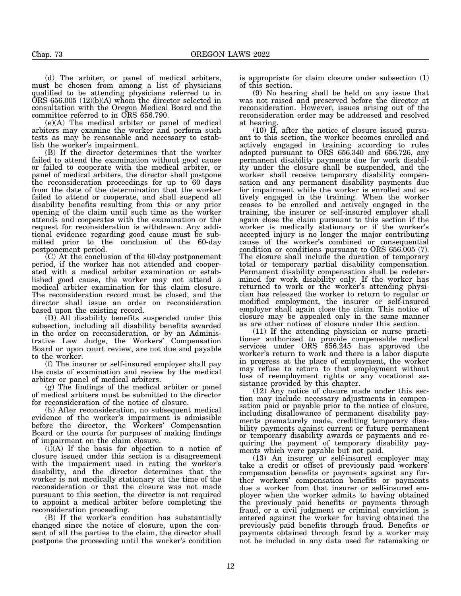(d) The arbiter, or panel of medical arbiters, must be chosen from among a list of physicians qualified to be attending physicians referred to in  $\overline{ORS}$  656.005 (12)(b)(A) whom the director selected in consultation with the Oregon Medical Board and the committee referred to in ORS 656.790.

(e)(A) The medical arbiter or panel of medical arbiters may examine the worker and perform such tests as may be reasonable and necessary to establish the worker's impairment.

(B) If the director determines that the worker failed to attend the examination without good cause or failed to cooperate with the medical arbiter, or panel of medical arbiters, the director shall postpone the reconsideration proceedings for up to 60 days from the date of the determination that the worker failed to attend or cooperate, and shall suspend all disability benefits resulting from this or any prior opening of the claim until such time as the worker attends and cooperates with the examination or the request for reconsideration is withdrawn. Any additional evidence regarding good cause must be submitted prior to the conclusion of the 60-day postponement period.

(C) At the conclusion of the 60-day postponement period, if the worker has not attended and cooperated with a medical arbiter examination or established good cause, the worker may not attend a medical arbiter examination for this claim closure. The reconsideration record must be closed, and the director shall issue an order on reconsideration based upon the existing record.

(D) All disability benefits suspended under this subsection, including all disability benefits awarded in the order on reconsideration, or by an Administrative Law Judge, the Workers' Compensation Board or upon court review, are not due and payable to the worker.

(f) The insurer or self-insured employer shall pay the costs of examination and review by the medical arbiter or panel of medical arbiters.

(g) The findings of the medical arbiter or panel of medical arbiters must be submitted to the director for reconsideration of the notice of closure.

(h) After reconsideration, no subsequent medical evidence of the worker's impairment is admissible before the director, the Workers' Compensation Board or the courts for purposes of making findings of impairment on the claim closure.

(i)(A) If the basis for objection to a notice of closure issued under this section is a disagreement with the impairment used in rating the worker's disability, and the director determines that the worker is not medically stationary at the time of the reconsideration or that the closure was not made pursuant to this section, the director is not required to appoint a medical arbiter before completing the reconsideration proceeding.

(B) If the worker's condition has substantially changed since the notice of closure, upon the consent of all the parties to the claim, the director shall postpone the proceeding until the worker's condition

is appropriate for claim closure under subsection (1) of this section.

(9) No hearing shall be held on any issue that was not raised and preserved before the director at reconsideration. However, issues arising out of the reconsideration order may be addressed and resolved at hearing.

(10) If, after the notice of closure issued pursuant to this section, the worker becomes enrolled and actively engaged in training according to rules adopted pursuant to ORS 656.340 and 656.726, any permanent disability payments due for work disability under the closure shall be suspended, and the worker shall receive temporary disability compensation and any permanent disability payments due for impairment while the worker is enrolled and actively engaged in the training. When the worker ceases to be enrolled and actively engaged in the training, the insurer or self-insured employer shall again close the claim pursuant to this section if the worker is medically stationary or if the worker's accepted injury is no longer the major contributing cause of the worker's combined or consequential condition or conditions pursuant to ORS 656.005 (7). The closure shall include the duration of temporary total or temporary partial disability compensation. Permanent disability compensation shall be redetermined for work disability only. If the worker has returned to work or the worker's attending physician has released the worker to return to regular or modified employment, the insurer or self-insured employer shall again close the claim. This notice of closure may be appealed only in the same manner as are other notices of closure under this section.

(11) If the attending physician or nurse practitioner authorized to provide compensable medical services under ORS 656.245 has approved the worker's return to work and there is a labor dispute in progress at the place of employment, the worker may refuse to return to that employment without loss of reemployment rights or any vocational assistance provided by this chapter.

(12) Any notice of closure made under this section may include necessary adjustments in compensation paid or payable prior to the notice of closure, including disallowance of permanent disability payments prematurely made, crediting temporary disability payments against current or future permanent or temporary disability awards or payments and requiring the payment of temporary disability payments which were payable but not paid.

(13) An insurer or self-insured employer may take a credit or offset of previously paid workers' compensation benefits or payments against any further workers' compensation benefits or payments due a worker from that insurer or self-insured employer when the worker admits to having obtained the previously paid benefits or payments through fraud, or a civil judgment or criminal conviction is entered against the worker for having obtained the previously paid benefits through fraud. Benefits or payments obtained through fraud by a worker may not be included in any data used for ratemaking or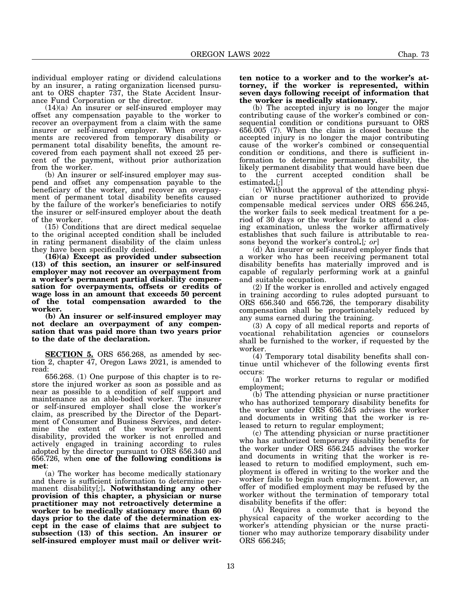individual employer rating or dividend calculations by an insurer, a rating organization licensed pursuant to ORS chapter 737, the State Accident Insurance Fund Corporation or the director.

(14)(a) An insurer or self-insured employer may offset any compensation payable to the worker to recover an overpayment from a claim with the same insurer or self-insured employer. When overpayments are recovered from temporary disability or permanent total disability benefits, the amount recovered from each payment shall not exceed 25 percent of the payment, without prior authorization from the worker.

(b) An insurer or self-insured employer may suspend and offset any compensation payable to the beneficiary of the worker, and recover an overpayment of permanent total disability benefits caused by the failure of the worker's beneficiaries to notify the insurer or self-insured employer about the death of the worker.

(15) Conditions that are direct medical sequelae to the original accepted condition shall be included in rating permanent disability of the claim unless they have been specifically denied.

**(16)(a) Except as provided under subsection (13) of this section, an insurer or self-insured employer may not recover an overpayment from a worker's permanent partial disability compensation for overpayments, offsets or credits of wage loss in an amount that exceeds 50 percent of the total compensation awarded to the worker.**

**(b) An insurer or self-insured employer may not declare an overpayment of any compensation that was paid more than two years prior to the date of the declaration.**

**SECTION 5.** ORS 656.268, as amended by section 2, chapter 47, Oregon Laws 2021, is amended to read:

656.268. (1) One purpose of this chapter is to restore the injured worker as soon as possible and as near as possible to a condition of self support and maintenance as an able-bodied worker. The insurer or self-insured employer shall close the worker's claim, as prescribed by the Director of the Department of Consumer and Business Services, and deter-<br>mine the extent of the worker's permanent mine the extent of the worker's permanent disability, provided the worker is not enrolled and actively engaged in training according to rules adopted by the director pursuant to ORS 656.340 and 656.726, when **one of the following conditions is met**:

(a) The worker has become medically stationary and there is sufficient information to determine permanent disability[*;*]**. Notwithstanding any other provision of this chapter, a physician or nurse practitioner may not retroactively determine a worker to be medically stationary more than 60 days prior to the date of the determination except in the case of claims that are subject to subsection (13) of this section. An insurer or self-insured employer must mail or deliver writ-**

## **ten notice to a worker and to the worker's attorney, if the worker is represented, within seven days following receipt of information that the worker is medically stationary.**

(b) The accepted injury is no longer the major contributing cause of the worker's combined or consequential condition or conditions pursuant to ORS 656.005 (7). When the claim is closed because the accepted injury is no longer the major contributing cause of the worker's combined or consequential condition or conditions, and there is sufficient information to determine permanent disability, the likely permanent disability that would have been due to the current accepted condition shall be estimated**.**[*;*]

(c) Without the approval of the attending physician or nurse practitioner authorized to provide compensable medical services under ORS 656.245, the worker fails to seek medical treatment for a period of 30 days or the worker fails to attend a closing examination, unless the worker affirmatively establishes that such failure is attributable to reasons beyond the worker's control**.**[*; or*]

(d) An insurer or self-insured employer finds that a worker who has been receiving permanent total disability benefits has materially improved and is capable of regularly performing work at a gainful and suitable occupation.

(2) If the worker is enrolled and actively engaged in training according to rules adopted pursuant to ORS 656.340 and 656.726, the temporary disability compensation shall be proportionately reduced by any sums earned during the training.

(3) A copy of all medical reports and reports of vocational rehabilitation agencies or counselors shall be furnished to the worker, if requested by the worker.

(4) Temporary total disability benefits shall continue until whichever of the following events first occurs:

(a) The worker returns to regular or modified employment;

(b) The attending physician or nurse practitioner who has authorized temporary disability benefits for the worker under ORS 656.245 advises the worker and documents in writing that the worker is released to return to regular employment;

(c) The attending physician or nurse practitioner who has authorized temporary disability benefits for the worker under ORS 656.245 advises the worker and documents in writing that the worker is released to return to modified employment, such employment is offered in writing to the worker and the worker fails to begin such employment. However, an offer of modified employment may be refused by the worker without the termination of temporary total disability benefits if the offer:

(A) Requires a commute that is beyond the physical capacity of the worker according to the worker's attending physician or the nurse practitioner who may authorize temporary disability under ORS 656.245;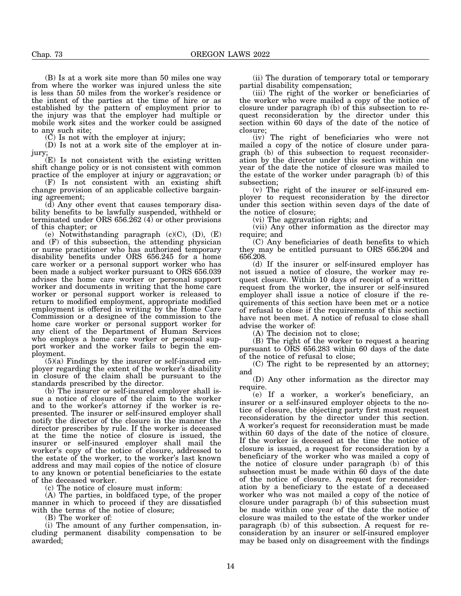(B) Is at a work site more than 50 miles one way from where the worker was injured unless the site is less than 50 miles from the worker's residence or the intent of the parties at the time of hire or as established by the pattern of employment prior to the injury was that the employer had multiple or mobile work sites and the worker could be assigned to any such site;

 $( \check{C} )$  Is not with the employer at injury;

(D) Is not at a work site of the employer at injury;

(E) Is not consistent with the existing written shift change policy or is not consistent with common practice of the employer at injury or aggravation; or

(F) Is not consistent with an existing shift change provision of an applicable collective bargaining agreement;

(d) Any other event that causes temporary disability benefits to be lawfully suspended, withheld or terminated under ORS 656.262 (4) or other provisions of this chapter; or

(e) Notwithstanding paragraph  $(c)(C)$ ,  $(D)$ ,  $(E)$ and (F) of this subsection, the attending physician or nurse practitioner who has authorized temporary disability benefits under ORS 656.245 for a home care worker or a personal support worker who has been made a subject worker pursuant to ORS 656.039 advises the home care worker or personal support worker and documents in writing that the home care worker or personal support worker is released to return to modified employment, appropriate modified employment is offered in writing by the Home Care Commission or a designee of the commission to the home care worker or personal support worker for any client of the Department of Human Services who employs a home care worker or personal support worker and the worker fails to begin the employment.

 $(5)(a)$  Findings by the insurer or self-insured employer regarding the extent of the worker's disability in closure of the claim shall be pursuant to the standards prescribed by the director.

(b) The insurer or self-insured employer shall issue a notice of closure of the claim to the worker and to the worker's attorney if the worker is represented. The insurer or self-insured employer shall notify the director of the closure in the manner the director prescribes by rule. If the worker is deceased at the time the notice of closure is issued, the insurer or self-insured employer shall mail the worker's copy of the notice of closure, addressed to the estate of the worker, to the worker's last known address and may mail copies of the notice of closure to any known or potential beneficiaries to the estate of the deceased worker.

(c) The notice of closure must inform:

(A) The parties, in boldfaced type, of the proper manner in which to proceed if they are dissatisfied with the terms of the notice of closure;

(B) The worker of:

(i) The amount of any further compensation, including permanent disability compensation to be awarded;

(ii) The duration of temporary total or temporary partial disability compensation;

(iii) The right of the worker or beneficiaries of the worker who were mailed a copy of the notice of closure under paragraph (b) of this subsection to request reconsideration by the director under this section within 60 days of the date of the notice of closure;

(iv) The right of beneficiaries who were not mailed a copy of the notice of closure under paragraph (b) of this subsection to request reconsideration by the director under this section within one year of the date the notice of closure was mailed to the estate of the worker under paragraph (b) of this subsection;

(v) The right of the insurer or self-insured employer to request reconsideration by the director under this section within seven days of the date of the notice of closure;

(vi) The aggravation rights; and

(vii) Any other information as the director may require; and

(C) Any beneficiaries of death benefits to which they may be entitled pursuant to ORS 656.204 and 656.208.

(d) If the insurer or self-insured employer has not issued a notice of closure, the worker may request closure. Within 10 days of receipt of a written request from the worker, the insurer or self-insured employer shall issue a notice of closure if the requirements of this section have been met or a notice of refusal to close if the requirements of this section have not been met. A notice of refusal to close shall advise the worker of:

(A) The decision not to close;

(B) The right of the worker to request a hearing pursuant to ORS 656.283 within 60 days of the date of the notice of refusal to close;

(C) The right to be represented by an attorney; and

(D) Any other information as the director may require.

(e) If a worker, a worker's beneficiary, an insurer or a self-insured employer objects to the notice of closure, the objecting party first must request reconsideration by the director under this section. A worker's request for reconsideration must be made within 60 days of the date of the notice of closure. If the worker is deceased at the time the notice of closure is issued, a request for reconsideration by a beneficiary of the worker who was mailed a copy of the notice of closure under paragraph (b) of this subsection must be made within  $60$  days of the date of the notice of closure. A request for reconsideration by a beneficiary to the estate of a deceased worker who was not mailed a copy of the notice of closure under paragraph (b) of this subsection must be made within one year of the date the notice of closure was mailed to the estate of the worker under paragraph (b) of this subsection. A request for reconsideration by an insurer or self-insured employer may be based only on disagreement with the findings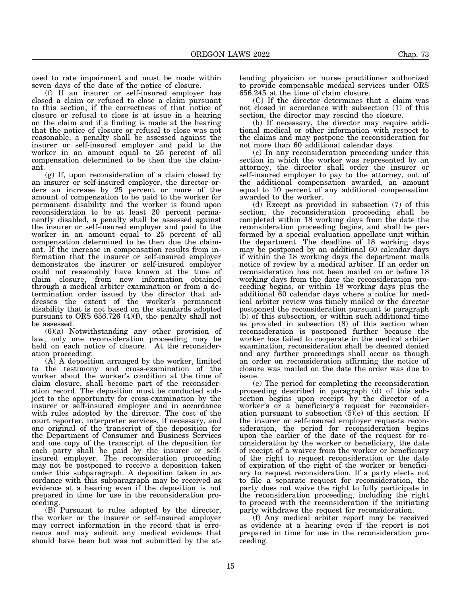used to rate impairment and must be made within seven days of the date of the notice of closure.

(f) If an insurer or self-insured employer has closed a claim or refused to close a claim pursuant to this section, if the correctness of that notice of closure or refusal to close is at issue in a hearing on the claim and if a finding is made at the hearing that the notice of closure or refusal to close was not reasonable, a penalty shall be assessed against the insurer or self-insured employer and paid to the worker in an amount equal to 25 percent of all compensation determined to be then due the claimant.

(g) If, upon reconsideration of a claim closed by an insurer or self-insured employer, the director orders an increase by 25 percent or more of the amount of compensation to be paid to the worker for permanent disability and the worker is found upon reconsideration to be at least 20 percent permanently disabled, a penalty shall be assessed against the insurer or self-insured employer and paid to the worker in an amount equal to 25 percent of all compensation determined to be then due the claimant. If the increase in compensation results from information that the insurer or self-insured employer demonstrates the insurer or self-insured employer could not reasonably have known at the time of claim closure, from new information obtained through a medical arbiter examination or from a determination order issued by the director that addresses the extent of the worker's permanent disability that is not based on the standards adopted pursuant to ORS 656.726 (4)(f), the penalty shall not be assessed.

(6)(a) Notwithstanding any other provision of law, only one reconsideration proceeding may be held on each notice of closure. At the reconsideration proceeding:

(A) A deposition arranged by the worker, limited to the testimony and cross-examination of the worker about the worker's condition at the time of claim closure, shall become part of the reconsideration record. The deposition must be conducted subject to the opportunity for cross-examination by the insurer or self-insured employer and in accordance with rules adopted by the director. The cost of the court reporter, interpreter services, if necessary, and one original of the transcript of the deposition for the Department of Consumer and Business Services and one copy of the transcript of the deposition for each party shall be paid by the insurer or selfinsured employer. The reconsideration proceeding may not be postponed to receive a deposition taken under this subparagraph. A deposition taken in accordance with this subparagraph may be received as evidence at a hearing even if the deposition is not prepared in time for use in the reconsideration proceeding.

(B) Pursuant to rules adopted by the director, the worker or the insurer or self-insured employer may correct information in the record that is erroneous and may submit any medical evidence that should have been but was not submitted by the attending physician or nurse practitioner authorized to provide compensable medical services under ORS 656.245 at the time of claim closure.

(C) If the director determines that a claim was not closed in accordance with subsection (1) of this section, the director may rescind the closure.

(b) If necessary, the director may require additional medical or other information with respect to the claims and may postpone the reconsideration for not more than 60 additional calendar days.

(c) In any reconsideration proceeding under this section in which the worker was represented by an attorney, the director shall order the insurer or self-insured employer to pay to the attorney, out of the additional compensation awarded, an amount equal to 10 percent of any additional compensation awarded to the worker.

(d) Except as provided in subsection (7) of this section, the reconsideration proceeding shall be completed within 18 working days from the date the reconsideration proceeding begins, and shall be performed by a special evaluation appellate unit within the department. The deadline of 18 working days may be postponed by an additional 60 calendar days if within the 18 working days the department mails notice of review by a medical arbiter. If an order on reconsideration has not been mailed on or before 18 working days from the date the reconsideration proceeding begins, or within 18 working days plus the additional 60 calendar days where a notice for medical arbiter review was timely mailed or the director postponed the reconsideration pursuant to paragraph (b) of this subsection, or within such additional time as provided in subsection (8) of this section when reconsideration is postponed further because the worker has failed to cooperate in the medical arbiter examination, reconsideration shall be deemed denied and any further proceedings shall occur as though an order on reconsideration affirming the notice of closure was mailed on the date the order was due to issue.

(e) The period for completing the reconsideration proceeding described in paragraph (d) of this subsection begins upon receipt by the director of a worker's or a beneficiary's request for reconsideration pursuant to subsection  $(5)(e)$  of this section. If the insurer or self-insured employer requests reconsideration, the period for reconsideration begins upon the earlier of the date of the request for reconsideration by the worker or beneficiary, the date of receipt of a waiver from the worker or beneficiary of the right to request reconsideration or the date of expiration of the right of the worker or beneficiary to request reconsideration. If a party elects not to file a separate request for reconsideration, the party does not waive the right to fully participate in the reconsideration proceeding, including the right to proceed with the reconsideration if the initiating party withdraws the request for reconsideration.

(f) Any medical arbiter report may be received as evidence at a hearing even if the report is not prepared in time for use in the reconsideration proceeding.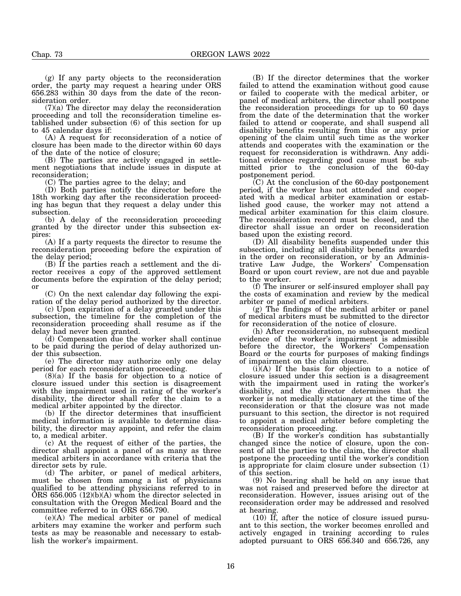(g) If any party objects to the reconsideration order, the party may request a hearing under ORS 656.283 within 30 days from the date of the reconsideration order.

(7)(a) The director may delay the reconsideration proceeding and toll the reconsideration timeline established under subsection (6) of this section for up to 45 calendar days if:

(A) A request for reconsideration of a notice of closure has been made to the director within 60 days of the date of the notice of closure;

(B) The parties are actively engaged in settlement negotiations that include issues in dispute at reconsideration;

(C) The parties agree to the delay; and

(D) Both parties notify the director before the 18th working day after the reconsideration proceeding has begun that they request a delay under this subsection.

(b) A delay of the reconsideration proceeding granted by the director under this subsection expires:

(A) If a party requests the director to resume the reconsideration proceeding before the expiration of the delay period;

(B) If the parties reach a settlement and the director receives a copy of the approved settlement documents before the expiration of the delay period; or

(C) On the next calendar day following the expiration of the delay period authorized by the director.

(c) Upon expiration of a delay granted under this subsection, the timeline for the completion of the reconsideration proceeding shall resume as if the delay had never been granted.

(d) Compensation due the worker shall continue to be paid during the period of delay authorized under this subsection.

(e) The director may authorize only one delay period for each reconsideration proceeding.

(8)(a) If the basis for objection to a notice of closure issued under this section is disagreement with the impairment used in rating of the worker's disability, the director shall refer the claim to a medical arbiter appointed by the director.

(b) If the director determines that insufficient medical information is available to determine disability, the director may appoint, and refer the claim to, a medical arbiter.

(c) At the request of either of the parties, the director shall appoint a panel of as many as three medical arbiters in accordance with criteria that the director sets by rule.

(d) The arbiter, or panel of medical arbiters, must be chosen from among a list of physicians qualified to be attending physicians referred to in  $\overline{ORS}$  656.005 (12)(b)(A) whom the director selected in consultation with the Oregon Medical Board and the committee referred to in ORS 656.790.

(e)(A) The medical arbiter or panel of medical arbiters may examine the worker and perform such tests as may be reasonable and necessary to establish the worker's impairment.

(B) If the director determines that the worker failed to attend the examination without good cause or failed to cooperate with the medical arbiter, or panel of medical arbiters, the director shall postpone the reconsideration proceedings for up to 60 days from the date of the determination that the worker failed to attend or cooperate, and shall suspend all disability benefits resulting from this or any prior opening of the claim until such time as the worker attends and cooperates with the examination or the request for reconsideration is withdrawn. Any additional evidence regarding good cause must be submitted prior to the conclusion of the 60-day postponement period.

(C) At the conclusion of the 60-day postponement period, if the worker has not attended and cooperated with a medical arbiter examination or established good cause, the worker may not attend a medical arbiter examination for this claim closure. The reconsideration record must be closed, and the director shall issue an order on reconsideration based upon the existing record.

(D) All disability benefits suspended under this subsection, including all disability benefits awarded in the order on reconsideration, or by an Administrative Law Judge, the Workers' Compensation Board or upon court review, are not due and payable to the worker.

(f) The insurer or self-insured employer shall pay the costs of examination and review by the medical arbiter or panel of medical arbiters.

(g) The findings of the medical arbiter or panel of medical arbiters must be submitted to the director for reconsideration of the notice of closure.

(h) After reconsideration, no subsequent medical evidence of the worker's impairment is admissible before the director, the Workers' Compensation Board or the courts for purposes of making findings of impairment on the claim closure.

(i)(A) If the basis for objection to a notice of closure issued under this section is a disagreement with the impairment used in rating the worker's disability, and the director determines that the worker is not medically stationary at the time of the reconsideration or that the closure was not made pursuant to this section, the director is not required to appoint a medical arbiter before completing the reconsideration proceeding.

(B) If the worker's condition has substantially changed since the notice of closure, upon the consent of all the parties to the claim, the director shall postpone the proceeding until the worker's condition is appropriate for claim closure under subsection (1) of this section.

(9) No hearing shall be held on any issue that was not raised and preserved before the director at reconsideration. However, issues arising out of the reconsideration order may be addressed and resolved at hearing.

(10) If, after the notice of closure issued pursuant to this section, the worker becomes enrolled and actively engaged in training according to rules adopted pursuant to ORS 656.340 and 656.726, any